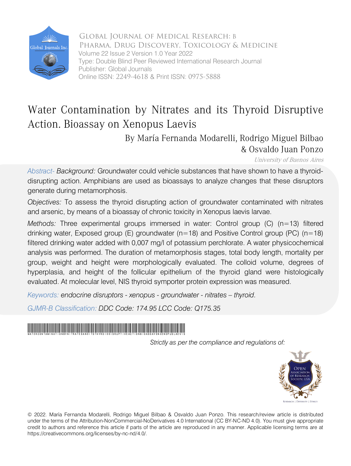

 Global Journal of Medical Research: B Volume 22 Issue 2 Version 1.0 Year 2022 Pharma, Drug Discovery, Toxicology & Medicine Type: Double Blind Peer Reviewed International Research Journal Publisher: Global Journals Online ISSN: 2249-4618 & Print ISSN: 0975-5888

## Water Contamination by Nitrates and its Thyroid Disruptive Action. Bioassay on Xenopus Laevis

## By María Fernanda Modarelli, Rodrigo Miguel Bilbao & Osvaldo Juan Ponzo

University of Buenos Aires

*Abstract- Background:* Groundwater could vehicle substances that have shown to have a thyroiddisrupting action. Amphibians are used as bioassays to analyze changes that these disruptors generate during metamorphosis.

*Objectives:* To assess the thyroid disrupting action of groundwater contaminated with nitrates and arsenic, by means of a bioassay of chronic toxicity in Xenopus laevis larvae.

*Methods:* Three experimental groups immersed in water: Control group (C) (n=13) filtered drinking water, Exposed group (E) groundwater ( $n=18$ ) and Positive Control group (PC) ( $n=18$ ) filtered drinking water added with 0,007 mg/l of potassium perchlorate. A water physicochemical analysis was performed. The duration of metamorphosis stages, total body length, mortality per group, weight and height were morphologically evaluated. The colloid volume, degrees of hyperplasia, and height of the follicular epithelium of the thyroid gland were histologically evaluated. At molecular level, NIS thyroid symporter protein expression was measured.

*Keywords: endocrine disruptors - xenopus - groundwater - nitrates – thyroid.*

*GJMR-B Classification: DDC Code: 174.95 LCC Code: Q175.35*

## WaterContaminationbyNitratesanditsThyroidDisruptiveActionBioassayonXenopusLaevis

*Strictly as per the compliance and regulations of:*



© 2022. María Fernanda Modarelli, Rodrigo Miguel Bilbao & Osvaldo Juan Ponzo. This research/review article is distributed under the terms of the Attribution-NonCommercial-NoDerivatives 4.0 International (CC BY-NC-ND 4.0). You must give appropriate credit to authors and reference this article if parts of the article are reproduced in any manner. Applicable licensing terms are at https://creativecommons.org/licenses/by-nc-nd/4.0/.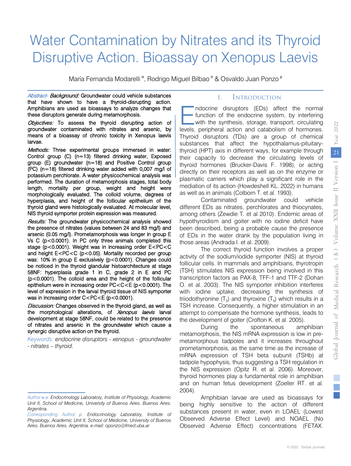# Water Contamination by Nitrates and its Thyroid Disruptive Action. Bioassay on Xenopus Laevis

María Fernanda Modarelli <sup>α</sup>, Rodrigo Miguel Bilbao <sup>σ</sup> & Osvaldo Juan Ponzo <sup>ρ</sup>

Abstract- Background: Groundwater could vehicle substances that have shown to have a thyroid-disrupting action. Amphibians are used as bioassays to analyze changes that these disruptors generate during metamorphosis.

Objectives: To assess the thyroid disrupting action of means of a bioassay of chronic toxicity in Xenopus laevis<br>larvae. groundwater contaminated with nitrates and arsenic, by

Methods: Three experimental groups immersed in water: NIS thyroid symporter protein expression was measured. Control group (C) (n=13) filtered drinking water, Exposed group (E) groundwater (n=18) and Positive Control group (PC) (n=18) filtered drinking water added with 0,007 mg/l of potassium perchlorate. A water physicochemical analysis was performed. The duration of metamorphosis stages, total body length, mortality per group, weight and height were morphologically evaluated. The colloid volume, degrees of hyperplasia, and height of the follicular epithelium of the thyroid gland were histologically evaluated. At molecular level,

Results: The groundwater physicochemical analysis showed Vs C (p<0.0001). In PC only three animals completed this was: 10% in group E exclusively (p<0.0001). Changes could be noticed in the thyroid glandular histoarchitecture at stage the presence of nitrates (values between 24 and 83 mg/l) and arsenic (0.05 mg/l). Prometamorphosis was longer in group E stage (p<0.0001). Weight was in increasing order E<PC<C and height E<PC<C (p<0.05). Mortality recorded per group 58NF: hyperplasia grade 1 in C, grade 2 in E and PC (p<0.0001). The colloid area and the height of the follicular epithelium were in increasing order PC<C<E (p<0.0001). The level of expression in the larval thyroid tissue of NIS symporter was in increasing order C<PC<E (p<0.0001).

the morphological alterations, of *Xenopus laevis* larval Discussion: Changes observed in the thyroid gland, as well as development at stage 58NF, could be related to the presence of nitrates and arsenic in the groundwater which cause a synergic disruptive action on the thyroid.

*Keywords: endocrine disruptors - xenopus - groundwater - nitrates – thyroid.*

## I. Introduction

 substances that affect the hypothalamus-pituitaryndocrine disruptors (EDs) affect the normal function of the endocrine system, by interfering with the synthesis, storage, transport, circulating Indocrine disruptors (EDs) affect the normal function of the endocrine system, by interfering with the synthesis, storage, transport, circulating levels, peripheral action and catabolism of hormones. Thyroid disruptors (TDs) are a group of chemical thyroid (HPT) axis in different ways, for example through their capacity to decrease the circulating levels of thyroid hormones (Brucker-Davis F. 1998), or acting directly on their receptors as well as on the enzyme or plasmatic carriers which play a significant role in the mediation of its action (Howdeshell KL. 2022) in humans as well as in animals (Colborn T. et al. 1993).

 of EDs in the water drank by the population living in Contaminated groundwater could vehicle different EDs as nitrates, perchlorates and thiocynates, among others (Zewdie T. et al 2010). Endemic areas of hypothyroidism and goiter with no iodine deficit have been described, being a probable cause the presence those areas (Andrada I. et al. 2009).

The correct thyroid function involves a proper activity of the sodium/iodide symporter (NIS) at thyroid follicular cells. In mammals and amphibians, thyrotropin (TSH) stimulates NIS expression being involved in this transcription factors as PAX-8, TFF-1 and TTF-2 (Dohan O. et al. 2003). The NIS symporter inhibition interferes with iodine uptake, decreasing the synthesis of triiodothyronine  $(T_3)$  and thyroxine  $(T_4)$  which results in a TSH increase. Consequently, a higher stimulation in an attempt to compensate the hormone synthesis, leads to the development of goiter (Crofton K. et al. 2005).

 thyroid hormones play a fundamental role in amphibian During the spontaneous amphibian metamorphosis, the NIS mRNA expression is low in premetamorphous tadpoles and it increases throughout prometamorphosis, as the same time as the increase of mRNA expression of TSH beta subunit (TSHb) at tadpole hypophysis, thus suggesting a TSH regulation in the NIS expression (Opitz R. et al. 2006). Moreover, and on human fetus development (Zoeller RT. et al. 2004).

 being highly sensitive to the action of different Amphibian larvae are used as bioassays for substances present in water, even in LOAEL (Lowest Observed Adverse Effect Level) and NOAEL (No Observed Adverse Effect) concentrations (FETAX.

 *Author α σ: Endocrinology Laboratory, Institute of Physiology, Academic Unit II, School of Medicine, University of Buenos Aires. Buenos Aires. Argentina.*

*Corresponding Author ρ: Endocrinology Laboratory, Institute of Physiology, Academic Unit II, School of Medicine, University of Buenos Aires. Buenos Aires. Argentina. e-mail: oponzo@fmed.uba.ar*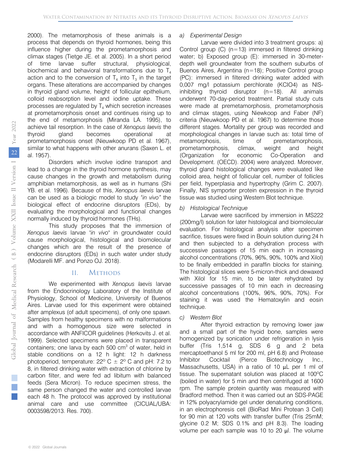2000). The metamorphosis of these animals is a action and to the conversion of  $T_4$  into  $T_3$  in the target process that depends on thyroid hormones, being this influence higher during the prometamorphosis and climax stages (Tietge JE. et al. 2005). In a short period of time larvae suffer structural, physiological, biochemical and behavioral transformations due to  $T_4$ organs. These alterations are accompanied by changes in thyroid gland volume, height of follicular epithelium, colloid reabsorption level and iodine uptake. These processes are regulated by  $T_4$  which secretion increases at prometamorphosis onset and continues rising up to the end of metamorphosis (Miranda LA. 1995), to achieve tail resorption. In the case of *Xenopus laevis* the thyroid gland becomes operational at prometamorphosis onset (Nieuwkoop PD et al. 1967), similar to what happens with other anurans (Saxen L. et al. 1957).

Disorders which involve iodine transport and lead to a change in the thyroid hormone synthesis, may cause changes in the growth and metabolism during amphibian metamorphosis, as well as in humans (Shi YB. et al. 1996). Because of this, *Xenopus laevis* larvae can be used as a biologic model to study *"in vivo"* the biological effect of endocrine disruptors (EDs), by evaluating the morphological and functional changes normally induced by thyroid hormones (THs).

This study proposes that the immersion of *Xenopus laevis* larvae *"in vivo"* in groundwater could cause morphological, histological and biomolecular changes which are the result of the presence of endocrine disruptors (EDs) in such water under study (Modarelli MF. and Ponzo OJ. 2018).

## II. Methods

We experimented with *Xenopus laevis* larvae from the Endocrinology Laboratory of the Institute of Physiology, School of Medicine, University of Buenos Aires. Larvae used for this experiment were obtained after amplexus (of adult specimens), of only one spawn. Samples from healthy specimens with no malformations and with a homogenous size were selected in accordance with ANFICOR guidelines (Herkovits J. et al. 1999). Selected specimens were placed in transparent containers; one larva by each 500  $\text{cm}^3$  of water, held in stable conditions on a 12 h light: 12 h darkness photoperiod, temperature:  $22^{\circ}$  C  $\pm$  2° C and pH: 7.2 to 8, in filtered drinking water with extraction of chlorine by carbon filter, and were fed ad libitum with balanced feeds (Sera Micron). To reduce specimen stress, the same person changed the water and controlled larvae each 48 h. The protocol was approved by institutional animal care and use committee (CICUAL/UBA: 0003598/2013. Res. 700).

## *a) Experimental Design*

Larvae were divided into 3 treatment groups: a) Control group  $(C)$  (n=13) immersed in filtered drinking water; b) Exposed group (E): immersed in 30-meterdepth well groundwater from the southern suburbs of Buenos Aires, Argentina (n=18); Positive Control group (PC): immersed in filtered drinking water added with 0,007 mg/l potassium perchlorate (KCIO4) as NISinhibiting thyroid disruptor  $(n=18)$ . All animals underwent 70-day-period treatment. Partial study cuts were made at premetamorphosis, prometamorphosis and climax stages, using Niewkoop and Faber (NF) criteria (Nieuwkoop PD et al. 1967) to determine those different stages. Mortality per group was recorded and morphological changes in larvae such as: total time of metamorphosis, time of premetamorphosis, prometamorphosis, climax, weight and height (Organization for economic Co-Operation and Development. (OECD). 2004) were analyzed. Moreover, thyroid gland histological changes were evaluated like colloid area, height of follicular cell, number of follicles per field, hyperplasia and hypertrophy (Grim C. 2007). Finally, NIS symporter protein expression in the thyroid tissue was studied using Western Blot technique.

## *b) Histological Technique*

Larvae were sacrificed by immersion in MS222 (200mg/l) solution for later histological and biomolecular evaluation. For histological analysis after specimen sacrifice, tissues were fixed in Bouin solution during 24 h and then subjected to a dehydration process with successive passages of 15 min each in increasing alcohol concentrations (70%, 96%, 90%, 100% and Xilol) to be finally embedded in paraffin blocks for staining. The histological slices were 5-micron-thick and dewaxed with Xilol for 15 min, to be later rehydrated by successive passages of 10 min each in decreasin[g](https://www.google.com/search?sxsrf=AOaemvJtS-LdCGYD_hShuV9Qp_kun9sBeQ:1630946928725&q=Waltham&stick=H4sIAAAAAAAAAOPgE-LSz9U3ME4xTSrLVuIAsTOqjE21tLKTrfTzi9IT8zKrEksy8_NQOFYZqYkphaWJRSWpRcWLWNnDE3NKMhJzd7AyAgCUg3_2UQAAAA&sa=X&ved=2ahUKEwjj0dXi5uryAhWNppUCHRTCCDAQmxMoATAfegQINxAD)  [alcohol concentration](https://www.google.com/search?sxsrf=AOaemvJtS-LdCGYD_hShuV9Qp_kun9sBeQ:1630946928725&q=Waltham&stick=H4sIAAAAAAAAAOPgE-LSz9U3ME4xTSrLVuIAsTOqjE21tLKTrfTzi9IT8zKrEksy8_NQOFYZqYkphaWJRSWpRcWLWNnDE3NKMhJzd7AyAgCUg3_2UQAAAA&sa=X&ved=2ahUKEwjj0dXi5uryAhWNppUCHRTCCDAQmxMoATAfegQINxAD)s (100%, 96%, 90%, 70%). For staining it was used the Hematoxylin and eosin technique.

*c) Western Blot*

After thyroid extraction by removing lower jaw and a small part of the hyoid bone, samples were homogenized by sonication under refrigeration in lysis buffer (Tris 1,514 g, SDS 6 g and 2 beta mercaptoethanol 5 ml for 200 ml, pH 6.8) and Protease Inhibitor Cocktail (Pierce Biotechnology Inc., Massachusetts, USA) in a ratio of 10 μL per 1 ml of tissue. The supernatant solution was placed at 100ºC (boiled in water) for 5 min and then centrifuged at 1600 rpm. The sample protein quantity was measured with Bradford method. Then it was carried out an SDS-PAGE in 12% polyacrylamide gel under denaturing conditions, in an electrophoresis cell (BioRad Mini Protean 3 Cell) for 90 min at 120 volts with transfer buffer (Tris 25mM; glycine 0.2 M; SDS 0.1% and pH 8.3). The loading volume per each sample was 10 to 20 μl. The volume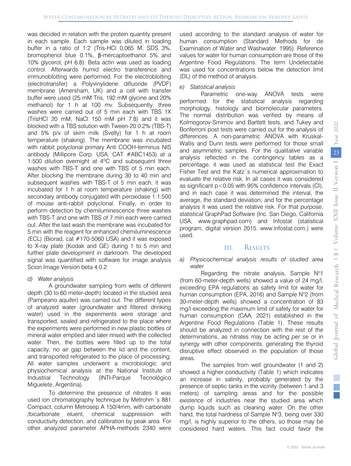was decided in relation with the protein quantity present in each sample. Each sample was diluted in loading buffer in a ratio of 1:2 (Tris-HCl 0.065 M, SDS 3%, bromophenol blue 0.1%, β-mercaptoethanol 5% and 10% glycerol, pH 6.8). Beta actin was used as loading control. Afterwards humid electro transference and immunoblotting were performed. For the electroblotting (electrotransfer) a Polyvinylidene difluoride (PVDF) membrane (Amersham, UK) and a cell with transfer buffer were used (25 mM Tris, 192 mM glycine and 20% methanol) for 1 h at 100 mv. Subsequently, three washes were carried out of 5 min each with TBS 1X (TrisHCl 20 mM, NaCl 150 mM pH 7.8) and it was blocked with a TBS solution with Tween-20 0.2% (TBS-T) and 5% p/v of skim milk (Svelty) for 1 h at room temperature (shaking). The membrane was incubated with rabbit polyclonal primary Anti COOH-terminus NIS antibody (Millipore Corp. USA, CAT #ABC1453) at a 1:500 dilution overnight at 4ºC and subsequent three washes with TBS-T and one with TBS of 5 min each. After blocking the membrane during 30 to 40 min and subsequent washes with TBS-T of 5 min each, it was incubated for 1 h at room temperature (shaking) with secondary antibody conjugated with peroxidase 1:1.500 of mouse anti-rabbit polyclonal. Finally, in order to perform detection by chemiluminescence three washes with TBS-T and one with TBS of 7 min each were carried out. After the last wash the membrane was incubated for 5 min with the reagent for enhanced chemiluminescence (ECL) (Biorad, cat #170-5060 USA) and it was exposed to X-ray plate (Kodak and GE) during 1 to 5 min and further plate development in darkroom. The developed signal was quantified with software for image analysis Scion Image Version beta 4.0.2.

*d) Water analysis*

A groundwater sampling from wells of different depth (30 to 60 meter-depth) located in the studied area (Pampeano aquifer) was carried out. The different types of analyzed water (groundwater and filtered drinking water) used in the experiments were storage and transported, sealed and refrigerated to the place where the experiments were performed in new plastic bottles of mineral water emptied and later rinsed with the collected water. Then, the bottles were filled up to the total capacity, no air gap between the lid and the content, and transported refrigerated to the place of processing. All water samples underwent a microbiologic and physiochemical analysis at the National Institute of Industrial Technology (INTI-Parque Tecnológico Miguelete, Argentina).

To determine the presence of nitrates it was used ion chromatography technique by Metrohm´s 881 Compact, column Metrosep A 150/4mm, with carbonate /bicarbonate eluent, chemical suppression with conductivity detection, and calibration by peak area. For other analyzed parameter APHA-methods 2340 were

used according to the standard analysis of water for human consumption (Standard Methods for de Examination of Water and Washwater. 1995). Reference values for water for human consumption are those of the Argentine Food Regulations. The term Undetectable was used for concentrations below the detection limit (DL) of the method of analysis.

## *e) Statistical analysis*

Parametric one-way ANOVA tests were performed for the statistical analysis regarding morphology, histology and biomolecular parameters. The normal distribution was verified by means of Kolmogorov-Smirnov and Bartlett tests, and Tukey and Bonferroni post tests were carried out for the analysis of differences. A non-parametric ANOVA with Kruskal-Wallis and Dunn tests were performed for those small and asymmetric samples. For the qualitative variable analysis reflected in the contingency tables as a percentage, it was used as statistical test the Exact Fisher Test and the Katz´s numerical approximation to evaluate the relative risk. In all cases it was considered as significant p<0.05 with 95% confidence intervals (CI), and in each case it was determined the interval, the average, the standard deviation; and for the percentage analysis it was used the relative risk. For that purpose, statistical GraphPad Software (Inc. San Diego, California USA, www.graphpad.com) and Infostat (statistical program, digital version 2015. www.infostat.com.) were used.

## III. Results

#### *a) Physicochemical analysis results of studied area water*

Regarding the nitrate analysis, Sample  $N^{\circ}1$ (from 60-meter-depth wells) showed a value of 24 mg/l, exceeding EPA regulations as safety limit for water for human consumption (EPA, 2016) and Sample N°2 (from 30-meter-depth wells) showed a concentration of 83 mg/l exceeding the maximum limit of safety for water for human consumption (CAA, 2021) established in the Argentine Food Regulations (Table 1). These results should be analyzed in connection with the rest of the determinations, as nitrates may be acting *per se* or in synergy with other components, generating the thyroid disruptive effect observed in the population of those areas.

The samples from well groundwater (1 and 2) showed a higher conductivity (Table 1) which indicates an increase in salinity, probably generated by the presence of septic tanks in the vicinity (between 1 and 3 meters) of sampling areas and for the possible existence of industries near the studied area which dump liquids such as cleaning water. On the other hand, the total hardness of Sample N°3, being over 330 mg/l, is highly superior to the others, so those may be considered hard waters. This fact could favor the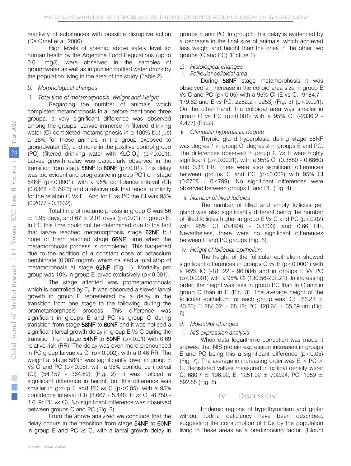reactivity of substances with possible disruptive action (De Groef et al. 2006).

High levels of arsenic, above safety level for human health by the Argentine Food Regulations (up to 0.01 mg/l), were observed in the samples of groundwater as well as in purified bottled water drunk by the population living in the area of the study (Table 2).

#### *b) Morphological changes*

#### i. *Total time of metamorphosis. Weight and Height*

Regarding the number of animals which completed metamorphosis in all before mentioned three groups, a very significant difference was observed among the groups. Larvae immerse in filtered drinking water (C) completed metamorphosis in a 100% but just a 38% for those animals in the group exposed to groundwater (E), and none in the positive control group (PC) (filtered drinking water with  $KLCIO<sub>a</sub>$ ) (p < 0.001). Larvae growth delay was particularly observed in the transition from stage  $58NF$  to  $60NF$  ( $p < 0.01$ ). This delay was too evident and progressive in group PC from stage 54NF (p<0.0001), with a 95% confidence interval (CI) (0.6368 - 0.7923) and a relative risk that tends to infinity for the relation C Vs E. And for E vs PC the CI was 95% (0.2077 - 0.3632).

Total time of metamorphosis in group C was 56  $\pm$  1.95 days, and 67  $\pm$  2.01 days (p < 0.01) in group E. In PC this time could not be determined due to the fact that larvae reached metamorphosis stage 62NF but none of them reached stage 66NF, time when the metamorphosis process is completed. This happened due to the addition of a constant dose of potassium perchlorate (0,007 mg/ml), which caused a total stop of metamorphosis at stage 62NF (Fig. 1). Mortality per group was 10% in group E larvae exclusively (p<0.001).

The stage affected was prometamorphosis which is controlled by  $T<sub>4</sub>$ . It was observed a slower larval growth in group E represented by a delay in the transition from one stage to the following during the prometamorphosis process. This difference was significant in groups E and PC *vs* group C during transition from stage 58NF to 60NF and it was noticed a significant larval growth delay in group E *Vs* C during the transition from stage  $54NF$  to  $60NF$  (p<0.01) with 0.69 relative risk (RR). The delay was even more pronounced in PC group larvae vs C,  $(p<0.002)$ , with a 0.46 RR. The weight at stage 58NF was significantly lower in group E Vs C and PC ( $p < 0.05$ ), with a 95% confidence interval (CI) (54.157 - 364.69) (Fig. 2). It was noticed a significant difference in height, but this difference was smaller in group E and PC *vs* C (p < 0.05), with a 95% confidence interval (CI) (8.667 - 5.448: E *vs* C, -6.750 - 4.619: PC *vs* C). No significant difference was observed between groups C and PC (Fig. 2).

From the above analyzed we conclude that the delay occurs in the transition from stage 54NF to 60NF in group E and PC *vs* C, with a larval growth delay in

groups E and PC. In group E this delay is evidenced by a decrease in the final size of animals, which achieved less weight and height than the ones in the other two groups (C and PC) (Picture 1).

#### *c) Histological changes*

#### i. *Follicular colloidal area*

During 58NF stage metamorphosis it was observed an increase in the colloid area size in group E Vs C and PC (p<0.05) with a 95% CI (E vs C: -9184.7 - 179.62 and E *vs* PC: 2252.2 - 9253) (Fig. 3) (p<0.001). On the other hand, the colloidal area was smaller in group C *vs* PC (p>0.001) with a 95% CI (-2336.2 - 4.477) (Pic.2).

#### ii. *Glandular hyperplasia degree*

Thyroid gland hyperplasia during stage 58NF was degree 1 in group C, degree 2 in groups E and PC. The differences observed in group C *Vs* E were highly significant (p<0.0001), with a 95% CI (0.3680 - 0.6860) and 0.33 RR. There were also significant differences between groups C and PC (p<0.002) with 95% CI (0.2708 - 0.4799). No significant differences were observed between groups E and PC (Fig. 4).

#### iii. *Number of filled follicles*

The number of filled and empty follicles per gland was also significantly different being the number of filled follicles higher in group E *Vs* C and PC (p<0.02) with 95% CI (0.4906 - 0.8303) and 0.66 RR. Nevertheless, there were no significant differences between C and PC groups (Fig. 5).

#### iv. *Height of follicular epithelium*

The height of the follicular epithelium showed significant differences in groups C *vs* E (p<0.0001) with a 95% IC (-181.22 - 96.084) and in groups E *Vs* PC (p<0.0001) with a 95% CI (130.56-202.21). In increasing order, the height was less in group PC than in C and in group C than in E (Pic. 3). The average height of the follicular epithelium for each group was: C: 166.23  $\pm$ 43.23; E: 284.02  $\pm$  68.12; PC: 128.64  $\pm$  35.69 um (Fig. 6).

#### *d) Molecular changes*

#### i. *NIS expression analysis*

When data logarithmic correction was made it showed that NIS protein expression increases in groups E and PC being this a significant difference  $(p<0.05)$ (Fig. 7). The average in increasing order was  $E > PC >$ C. Registered values measured in optical density were: C: 680.7 ± 196.92, E: 1251.02 ± 702.94, PC: 1059 ± 592.85 (Fig. 6).

#### IV. Discussion

 without iodine deficiency have been described, Endemic regions of hypothyroidism and goiter suggesting the consumption of EDs by the population living in these areas as a predisposing factor. (Blount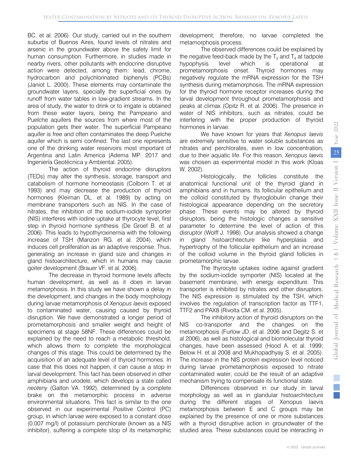BC. et al. 2006). Our study, carried out in the southern suburbs of Buenos Aires, found levels of nitrates and arsenic in the groundwater above the safety limit for human consumption. Furthermore, in studies made in nearby rivers, other pollutants with endocrine disruptive action were detected, among them: lead, chrome, hydrocarbon and polychlorinated biphenyls (PCBs) (Janiot L. 2000). These elements may contaminate the groundwater layers, specially the superficial ones by runoff from water tables in low-gradient streams. In the area of study, the water to drink or to irrigate is obtained from these water layers, being the Pampeano and Puelche aquifers the sources from where most of the population gets their water. The superficial Pampeano aquifer is free and often contaminates the deep Puelche aquifer which is semi confined. The last one represents one of the drinking water reservoirs most important of Argentina and Latin America (Adema MP. 2017 and Ingeniería Geotécnica y Ambiental. 2005).

The action of thyroid endocrine disruptors (TEDs) may alter the synthesis, storage, transport and catabolism of hormone homeostasis (Colborn T. et al 1993) and may decrease the production of thyroid hormones (Kleiman DL. et al. 1989) by acting on membrane transporters such as NIS. In the case of nitrates, the inhibition of the sodium-iodide symporter (NIS) interferes with iodine uptake at thyrocyte level, first step in thyroid hormone synthesis (De Groef B. et al 2006). This leads to hypothyroxinemia with the following increase of TSH (Manzon RG. et al. 2004), which induces cell proliferation as an adaptive response. Thus, generating an increase in gland size and changes in gland histoarchitecture, which in humans may cause goiter development (Brauer VF. et al. 2006).

The decrease in thyroid hormone levels affects human development, as well as it does in larvae metamorphosis. In this study we have shown a delay in the development, and changes in the body morphology during larvae metamorphosis of *Xenopus laevis* exposed to contaminated water, causing caused by thyroid disruption. We have demonstrated a longer period of prometamorphosis and smaller weight and height of specimens at stage 58NF. These differences could be explained by the need to reach a metabolic threshold, which allows them to complete the morphological changes of this stage. This could be determined by the acquisition of an adequate level of thyroid hormones. In case that this does not happen, it can cause a stop in larval development. This fact has been observed in other amphibians and urodele, which develops a state called *neoteny* (Galton VA. 1992), determined by a complete brake on the metamorphic process in adverse environmental situations. This fact is similar to the one observed in our experimental Positive Control (PC) group, in which larvae were exposed to a constant dose (0.007 mg/l) of potassium perchlorate (known as a NIS inhibitor), suffering a complete stop of its metamorphic

development; therefore, no larvae completed the metamorphosis process.

the negative feed-back made by the  $T_3$  and  $T_4$  at tadpole The observed differences could be explained by hypophysis level which is operational at prometamorphosis onset. Thyroid hormones may negatively regulate the mRNA expression for the TSH synthesis during metamorphosis. The mRNA expression for the thyroid hormone receptor increases during the larval development throughout prometamorphosis and peaks at climax (Opitz R. et al. 2006). The presence in water of NIS inhibitors, such as nitrates, could be interfering with the proper production of thyroid hormones in larvae.

We have known for years that *Xenopus laevis* are extremely sensitive to water soluble substances as nitrates and perchlorates, even in low concentration, due to their aquatic life. For this reason, *Xenopus laevis* was chosen as experimental model in this work (Kloas W. 2002).

Histologically, the follicles constitute the anatomical functional unit of the thyroid gland in amphibians and in humans. Its follicular epithelium and the colloid constituted by thyroglobulin change their histological appearance depending on the secretory phase. These events may be altered by thyroid disruptors, being the histologic changes a sensitive parameter to determine the level of action of this disruptor (Wolff J. 1998). Our analysis showed a change in gland histoarchitecture like hyperplasia and hypertrophy of the follicular epithelium and an increase of the colloid volume in the thyroid gland follicles in prometamorphic larvae.

The thyrocyte uptakes iodine against gradient by the sodium-iodide symporter (NIS) located at the basement membrane, with energy expenditure. This transporter is inhibited by nitrates and other disruptors. The NIS expression is stimulated by the TSH, which involves the regulation of transcription factor as TTF1, TTF2 and PAX8 (Rivolta CM. et al. 2005).

The inhibitory action of thyroid disruptors on the NIS co-transporter and the changes on the metamorphosis (Furlow JD. et al. 2006 and Degitz S. et al 2006), as well as histological and biomolecular thyroid changes, have been assessed (Hood A. et al. 1999; Below H. et al 2008 and Mukhopadhyay S. et al. 2005). The increase in the NIS protein expression level noticed during larvae prometamorphosis exposed to nitrate contaminated water, could be the result of an adaptive mechanism trying to compensate its functional state.

Differences observed in our study in larval morphology as well as in glandular histoarchitecture during the different stages of Xenopus laevis metamorphosis between E and C groups may be explained by the presence of one or more substances with a thyroid disruptive action in groundwater of the studied area. These substances could be interacting in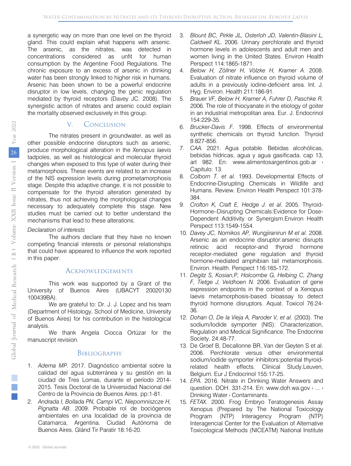a synergetic way on more than one level on the thyroid gland. This could explain what happens with arsenic. The arsenic, as the nitrates, was detected in concentrations considered as unfit for human consumption by the Argentine Food Regulations. The chronic exposure to an excess of arsenic in drinking water has been strongly linked to higher risk in humans. Arsenic has been shown to be a powerful endocrine disruptor in low levels, changing the genic regulation mediated by thyroid receptors (Davey JC. 2008). The synergistic action of nitrates and arsenic could explain the mortality observed exclusively in this group.

## V. Conclusion

The nitrates present in groundwater, as well as other possible endocrine disruptors such as arsenic, produce morphological alteration in the *Xenopus laevis* tadpoles, as well as histological and molecular thyroid changes when exposed to this type of water during their metamorphosis. These events are related to an increase of the NIS expression levels during prometamorphosis stage. Despite this adaptive change, it is not possible to compensate for the thyroid alteration generated by nitrates, thus not achieving the morphological changes necessary to adequately complete this stage. New studies must be carried out to better understand the mechanisms that lead to these alterations.

## *Declaration of interests*

The authors declare that they have no known competing financial interests or personal relationships that could have appeared to influence the work reported in this paper.

## **ACKNOWLEDGEMENTS**

This work was supported by a Grant of the University of Buenos Aires (UBACYT 20020130 100439BA).

We are grateful to: Dr. J. J. Lopez and his team (Department of Histology, School of Medicine, University of Buenos Aires) for his contribution in the histological analysis.

We thank Angela Ciocca Ortúzar for the manuscript revision.

## **BIBLIOGRAPHY**

- 2015. Tesis Doctoral de la Universidad Nacional del 1. *Adema MP.* 2017. Diagnóstico ambiental sobre la calidad del agua subterránea y su gestión en la ciudad de Tres Lomas, durante el período 2014- Centro de la Provincia de Buenos Aires. pp:1-81.
- Catamarca, Argentina. Ciudad Autónoma de 2. *Andrada I, Bollada PN, Campi VC, Niepomniszcze H, Pignatta AB.* 2009. Probable rol de bociógenos ambientales en una localidad de la provincia de Buenos Aires. Glánd Tir Paratir 18:16-20.
- 3. *Blount BC, Pirkle JL, Osterloh JD, Valentin-Blasini L, Caldwell KL.* 2006. Urinary perchlorate and thyroid hormone levels in adolescents and adult men and women living in the United States. Environ Health Perspect 114:1865-1871.
- 4. *Below H, Zöllner H, Völzke H, Kramer A.* 2008. Evaluation of nitrate influence on thyroid volume of adults in a previously iodine-deficient area. Int. J. Hyg. Environ. Health 211:186-91.
- 5. *Brauer VF, Below H, Kramer A, Fuhrer D, Paschke R.* 2006. The role of thiocyanate in the etiology of goiter in an industrial metropolitan area. Eur. J. Endocrinol 154:229-35.
- 6. *Brucker-Davis F.* 1998. Effects of environmental 8:827-856. synthetic chemicals on thyroid function. Thyroid
- bebidas hídricas, agua y agua gasificada. cap 13, 7. CAA. 2021. Agua potable. Bebidas alcohólicas, art 982. En: www.alimentosargentinos.gob.ar › Capitulo: 13.
- Endocrine-Disrupting Chemicals in Wildlife and 8. *Colborn T. et al.* 1993. Developmental Effects of Humans. Review. Environ Health Perspect 101:378- 384.
- 9. *Crofton K, Craft E, Hedge J. et al.* 2005. Thyroid-Hormone–Disrupting Chemicals:Evidence for Dose-Dependent Additivity or Synergism.Environ Health Perspect 113:1549-1554.
- 10. *Davey JC, Nomikos AP, Wungjiranirun M et al.* 2008. Arsenic as an endocrine disruptor:arsenic disrupts retinoic acid receptor-and thyroid hormone receptor-mediated gene regulation and thyroid hormone-mediated amphibian tail metamorphosis. Environ. Health. Perspect 116:165-172.
- expression endpoints in the context of a Xenopus laevis metamorphosis-based bioassay to detect 11. *Degitz S, Kosian,P, Holcombe G, Helbing C, Zhang F, Tietge J, Veldhoen N.* 2006. Evaluation of gene thyroid hormone disruptors. Aquat. Toxicol 76:24-36.
- 12. *Dohan O, De la Vieja A, Paroder V, et al.* (2003). The sodium/Iodide symporter (NIS): Characterization, Regulation and Medical Significance. The Endocrine Society. 24:48-77.
- Belgium. Eur J Endocrinol 155:17-25. 13. De Groef B, Decallonne BR, Van der Geyten S et al. 2006. Perchlorate versus other environmental sodium/iodide symporter inhibitors:potential thyroidrelated health effects. Clinical Study.Leuven,
- 14. *EPA.* 2016. Nitrate in Drinking Water Answers and question. DOH. 331-214. En: www.doh.wa.gov › ... › Drinking Water › Contaminants.
- 15. *FETAX.* 2000. Frog Embryo Teratogenesis Assay Xenopus (Prepared by The National Toxicology Program (NTP) Interagency Program (NTP) Interagencial Center for the Evaluation of Alternative Toxicological Methods (NICEATM) National Institute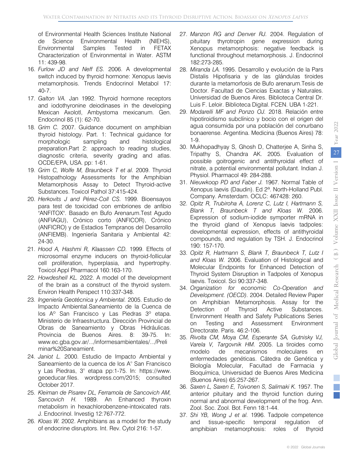of Environmental Health Sciences Institute National de Science Environmental Health (NIEHS), Environmental Samples Tested in FETAX Characterization of Environmental in Water. ASTM 11: 439-98.

- 16. *Furlow JD and Neff ES.* 2006. A developmental switch induced by thyroid hormone: Xenopus laevis metamorphosis. Trends Endocrinol Metabol 17: 40-7.
- 17. *Galton VA.* Jan 1992. Thyroid hormone receptors and iodothyronine deiodinases in the developing Mexican Axolotl, Ambystoma mexicanum. Gen. Endocrinol 85 (1): 62-70.
- 18. *Grim C.* 2007. Guidance document on amphibian thyroid histology. Part. 1: Technical guidance for morphologic sampling and histological preparation.Part 2: approach to reading studies, diagnostic criteria, severity grading and atlas. OCDE/EPA, USA. pp: 1-61.
- Histopathology Assessments for the Amphibian 19. *Grim C, Wolfe M, Braunbeck T et al.* 2009. Thyroid Metamorphosis Assay to Detect Thyroid-active Substances. Toxicol Pathol 37:415-424.
- 20. *Herkovits J and Pérez-Coll CS.* 1999. Bioensayos para test de toxicidad con embriones de anfibio "ANFITOX". Basado en Bufo Arenarum.Test Agudo (ANFIAGU), Crónico corto (ANFICOR), Crónico (ANFICRO) y de Estadios Tempranos del Desarrollo (ANFIEMB). Ingeniería Sanitaria y Ambiental 42: 24-30.
- 21. *Hood A, Hashmi R, Klaassen CD.* 1999. Effects of microsomal enzyme inducers on thyroid-follicular cell proliferation, hyperplasia, and hypertrophy. Toxicol Appl Pharmacol 160:163-170.
- 22. *Howdeshell KL.* 2022. A model of the development of the brain as a construct of the thyroid system. Environ Health Perspect 110:337-348.
- Obras de Saneamiento y Obras Hidráulicas. 23. *Ingeniería Geotécnica y Ambiental.* 2005. Estudio de Impacto Ambiental.Saneamiento de la Cuenca de los Aº San Francisco y Las Piedras 3º etapa. Ministerio de Infraestructura. Dirección Provincial de Provincia de Buenos Aires. 8: 39-75. In: www.ec.gba.gov.ar/.../informesambientales/.../Preli minar%20Saneamient.
- 24. *Janiot L.* 2000. Estudio de Impacto Ambiental y Saneamiento de la cuenca de los A° San Francisco y Las Piedras, 3° etapa pp:1-75. In: https://www. geoeducar.files. wordpress.com/2015; consulted October 2017.
- 25. *Kleiman de Pisarev DL, Ferramola de Sancovich AM, Sancovich H.* 1989. An Enhanced thyroxin metabolism in hexachlorobenzene-intoxicated rats. J. Endocrinol. Investig 12:767-772.
- 26. *Kloas W.* 2002. Amphibians as a model for the study of endocrine disruptors. Int. Rev. Cytol 216: 1-57.
- 27. *Manzon RG and Denver RJ.* 2004. Regulation of pituitary thyrotropin gene expression during Xenopus metamorphosis: negative feedback is functional throughout metamorphosis. J. Endocrinol 182:273-285.
- Doctor. Facultad de Ciencias Exactas y Naturales. 28. *Miranda LA.* 1995. Desarrollo y evolución de la Pars Distalis Hipofisaria y de las glándulas tiroides durante la metamorfosis de Bufo arenarum.Tesis de Universidad de Buenos Aires. Biblioteca Central Dr. Luis F. Leloir. Biblioteca Digital. FCEN. UBA 1-221.
- 29. *Modarelli MF and Ponzo OJ.* 2018. Relación entre bonaerense. Argentina. Medicina (Buenos Aires) 78: hipotiroidismo subclínico y bocio con el origen del agua consumida por una población del conurbano 1-9.
- 30. Mukhopadhyay S, Ghosh D, Chatterjee A, Sinha S, Tripathy S, Chandra AK. 2005. Evaluation of possible goitrogenic and antithyroidal effect of nitrate, a potential environmental pollutant. Indian J. Physiol. Pharmacol 49: 284-288.
- 31. *Nieuwkoop PD and Faber J.* 1967. Normal Table of Company. Amsterdam. OCLC: 467428: 260. Xenopus laevis (Daudin). Ed 2ª. North-Holland Publ.
- Expression of sodium-iodide symporter mRNA in developmental expression, effects of antithyroidal 32. *Opitz R, Trubiroha A, Lorenz C, Lutz I, Hartmann S, Blank T, Braunbeck T and Kloas W.* 2006. the thyroid gland of Xenopus laevis tadpoles: compounds, and regulation by TSH. J. Endocrinol 190: 157-170.
- 33. *Opitz R, Hartmann S, Blank T, Braunbeck T, Lutz I and Kloas W.* 2006. Evaluation of Histological and Molecular Endpoints for Enhanced Detection of Thyroid System Disruption in Tadpoles of Xenopus laevis. Toxicol. Sci 90:337-348.
- 34. *Organization for economic Co-Operation and Development. (OECD).* 2004. Detailed Review Paper on Amphibian Metamorphosis. Assay for the Detection of Thyroid Active Substances. Environment Health and Safety Publications Series on Testing and Assessment Environment Directorate. Paris. 46:2-106.
- modelo de mecanismos moleculares en 35. *Rivolta CM, Moya CM, Esperante SA, Gutnisky VJ, Varela V, Targovnik HM.* 2005. La tiroides como enfermedades genéticas. Cátedra de Genética y Biología Molecular, Facultad de Farmacia y Bioquímica, Universidad de Buenos Aires Medicina (Buenos Aires) 65:257-267.
- 36. *Saxen L, Saxen E, Toivonen S, Salimaki K.* 1957. The anterior pituitary and the thyroid function during normal and abnormal development of the frog. Ann. Zool. Soc. Zool. Bot. Fenn 18:1-44.
- 37. *Shi YB, Wong J et al.* 1996. Tadpole competence and tissue-specific temporal regulation of amphibian metamorphosis: roles of thyroid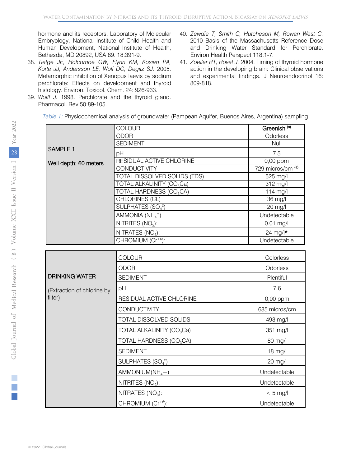Embryology, National Institute of Child Health and hormone and its receptors. Laboratory of Molecular Human Development, National Institute of Health, Bethesda, MD 20892, USA 89. 18:391-9.

- 38. *Tietge JE, Holcombe GW, Flynn KM, Kosian PA, Korte JJ, Andersson LE, Wolf DC, Degitz SJ.* 2005. Metamorphic inhibition of Xenopus laevis by sodium perchlorate: Effects on development and thyroid histology. Environ. Toxicol. Chem. 24: 926-933.
- 39. *Wolff J.* 1998. Perchlorate and the thyroid gland. Pharmacol. Rev 50:89-105.
- 40. *Zewdie T, Smith C, Hutcheson M, Rowan West C.* 2010 Basis of the Massachusetts Reference Dose and Drinking Water Standard for Perchlorate. Environ Health Perspect 118:1-7.
- 41. *Zoeller RT, Rovet J.* 2004. Timing of thyroid hormone action in the developing brain: Clinical observations and experimental findings. J Neuroendocrinol 16: 809-818.

*Table 1:* Physicochemical analysis of groundwater (Pampean Aquifer, Buenos Aires, Argentina) sampling

|                            | COLOUR                                    | Greenish <sup>(a)</sup>      |
|----------------------------|-------------------------------------------|------------------------------|
|                            | <b>ODOR</b>                               | Odorless                     |
| <b>SAMPLE 1</b>            | <b>SEDIMENT</b>                           | Null                         |
|                            | pH                                        | 7.5                          |
| Well depth: 60 meters      | RESIDUAL ACTIVE CHLORINE                  | 0,00 ppm                     |
|                            | <b>CONDUCTIVITY</b>                       | 729 micros/cm <sup>(a)</sup> |
|                            | <b>TOTAL DISSOLVED SOLIDS (TDS)</b>       | 525 mg/l                     |
|                            | TOTAL ALKALINITY (CO <sub>3</sub> Ca)     | 312 mg/l                     |
|                            | TOTAL HARDNESS (CO <sub>3</sub> CA)       | 114 $mg/l$                   |
|                            | CHLORINES (CL)                            | 36 mg/l                      |
|                            | SULPHATES (SO <sub>4</sub> <sup>2</sup> ) | 20 mg/l                      |
|                            | AMMONIA $(NH4+)$                          | Undetectable                 |
|                            | NITRITES $(NO2)$ :                        | $0.01$ mg/l                  |
|                            | NITRATES $(NO3)$ :                        | 24 mg/ $\vert \star$         |
|                            | CHROMIUM (Cr <sup>+6</sup> ):             | Undetectable                 |
|                            |                                           |                              |
|                            | COLOUR                                    | Colorless                    |
|                            | <b>ODOR</b>                               | Odorless                     |
| <b>DRINKING WATER</b>      | <b>SEDIMENT</b>                           | Plentiful                    |
| (Extraction of chlorine by | pH                                        | 7.6                          |
| filter)                    | RESIDUAL ACTIVE CHLORINE                  | $0,00$ ppm                   |
|                            | <b>CONDUCTIVITY</b>                       | 685 micros/cm                |
|                            | TOTAL DISSOLVED SOLIDS                    | 493 mg/l                     |
|                            | TOTAL ALKALINITY (CO <sub>3</sub> Ca)     | 351 mg/l                     |
|                            | TOTAL HARDNESS (CO <sub>3</sub> CA)       | 80 mg/l                      |
|                            | <b>SEDIMENT</b>                           | $18$ mg/l                    |
|                            | SULPHATES (SO <sub>4</sub> <sup>2</sup> ) | 20 mg/l                      |
|                            | $AMMONIUM(NH4+)$                          | Undetectable                 |
|                            | NITRITES $(NO2)$ :                        | Undetectable                 |
|                            | NITRATES $(NO3)$ :                        | $< 5$ mg/l                   |
|                            | CHROMIUM (Cr <sup>+6</sup> ):             | Undetectable                 |

٦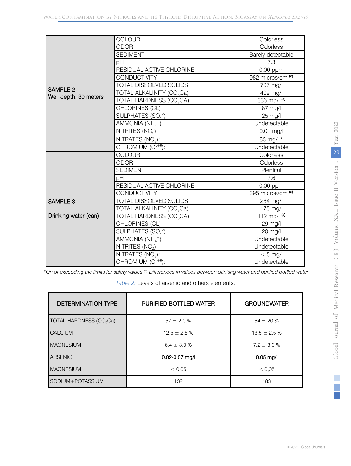|                                          | <b>COLOUR</b>                                    | Colorless              |                                |
|------------------------------------------|--------------------------------------------------|------------------------|--------------------------------|
| <b>SAMPLE 2</b><br>Well depth: 30 meters | <b>ODOR</b>                                      | Odorless               |                                |
|                                          | <b>SEDIMENT</b>                                  | Barely detectable      |                                |
|                                          | pH                                               | 7.3                    |                                |
|                                          | RESIDUAL ACTIVE CHLORINE                         | 0,00 ppm               |                                |
|                                          | <b>CONDUCTIVITY</b>                              | 982 micros/cm (a)      |                                |
|                                          | TOTAL DISSOLVED SOLIDS                           | 707 mg/l               |                                |
|                                          | TOTAL ALKALINITY (CO <sub>3</sub> Ca)            | 409 mg/l               |                                |
|                                          | TOTAL HARDNESS (CO <sub>3</sub> CA)              | 336 mg/l (a)           |                                |
|                                          | CHLORINES (CL)                                   | 87 mg/l                |                                |
|                                          | SULPHATES $(SO42)$                               | 25 mg/l                |                                |
|                                          | AMMONIA $(NH_4^+)$                               | Undetectable           |                                |
|                                          | NITRITES (NO <sub>2</sub> ):                     | $0.01$ mg/l            | 2022                           |
|                                          | NITRATES (NO <sub>3</sub> ):                     | 83 mg/l *              | Year                           |
|                                          | $CHROMIUM (Cr+6)$ :                              | Undetectable           |                                |
| <b>SAMPLE 3</b><br>Drinking water (can)  | COLOUR                                           | Colorless              | 29                             |
|                                          | <b>ODOR</b>                                      | Odorless               |                                |
|                                          | <b>SEDIMENT</b>                                  | Plentiful              |                                |
|                                          | pH                                               | 7.6                    |                                |
|                                          | RESIDUAL ACTIVE CHLORINE                         | 0,00 ppm               |                                |
|                                          | <b>CONDUCTIVITY</b>                              | 395 micros/cm (a)      |                                |
|                                          | <b>TOTAL DISSOLVED SOLIDS</b>                    | 284 mg/l               |                                |
|                                          | TOTAL ALKALINITY (CO <sub>3</sub> Ca)            | 175 mg/l               |                                |
|                                          | TOTAL HARDNESS (CO <sub>3</sub> CA)              | 112 mg/l $\frac{a}{a}$ |                                |
|                                          | CHLORINES (CL)                                   | 29 mg/l                |                                |
|                                          | SULPHATES (SO <sub>4</sub> <sup>2</sup> )        | 20 mg/l                |                                |
|                                          | AMMONIA $(NH_4^+)$                               | Undetectable           | Volume XXII Issue II Version I |
|                                          | NITRITES $(NO2)$ :                               | Undetectable           |                                |
|                                          | $\overline{\text{NITRATES}}$ (NO <sub>3</sub> ): | $< 5$ mg/l             | $($ B $)$                      |
|                                          | CHROMIUM $(\overline{Cr^{+6}})$ :                | Undetectable           |                                |

*\*On or exceeding the limits for safety values.(a) Differences in values between drinking water and purified bottled water*

*Table 2:* Levels of arsenic and others elements.

| <b>DETERMINATION TYPE</b>           | <b>PURIFIED BOTTLED WATER</b> | <b>GROUNDWATER</b> |
|-------------------------------------|-------------------------------|--------------------|
| TOTAL HARDNESS (CO <sub>3</sub> Ca) | $57 \pm 2.0 \%$               | 64 $\pm$ 20 %      |
| <b>CALCIUM</b>                      | $12.5 \pm 2.5 \%$             | $13.5 \pm 2.5 \%$  |
| <b>MAGNESIUM</b>                    | $6.4 \pm 3.0 \%$              | $7.2 \pm 3.0 \%$   |
| ARSENIC                             | 0.02-0.07 mg/l                | $0.05$ mg/l        |
| <b>MAGNESIUM</b>                    | < 0.05                        | < 0.05             |
| SODIUM+POTASSIUM                    | 132                           | 183                |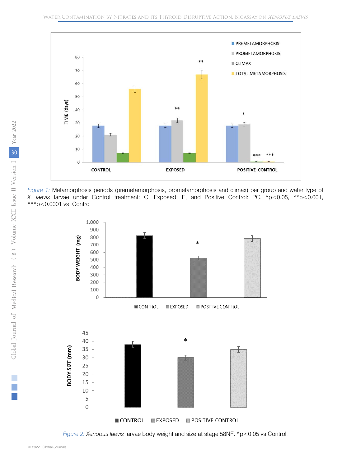

*Figure 1:* Metamorphosis periods (premetamorphosis, prometamorphosis and climax) per group and water type of *X. laevis* larvae under Control treatment: C, Exposed: E, and Positive Control: PC. \*p<0.05, \*\*p<0.001, \*\*\*p<0.0001 vs. Control



*Figure 2: Xenopus laevis* larvae body weight and size at stage 58NF. \*p<0.05 vs Control.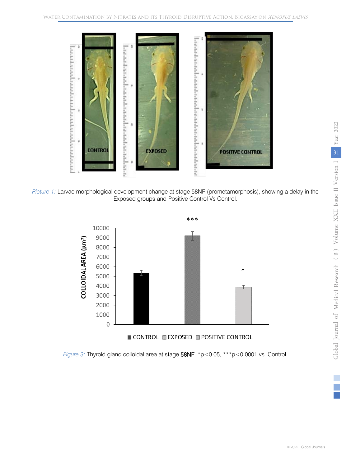

*Picture 1:* Larvae morphological development change at stage 58NF (prometamorphosis), showing a delay in the Exposed groups and Positive Control Vs Control.



*Figure 3:* Thyroid gland colloidal area at stage 58NF. \*p<0.05, \*\*\*p<0.0001 vs. Control.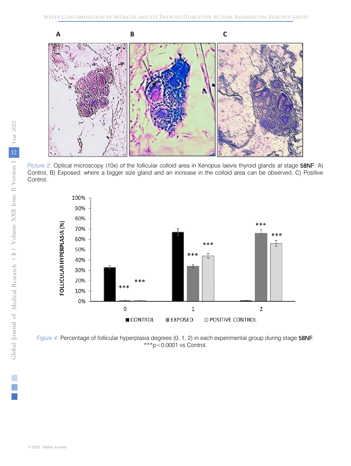

 Control, B) Exposed: where a bigger size gland and an increase in the colloid area can be observed, C) Positive *Picture 2:* Optical microscopy (10x) of the follicular colloid area in Xenopus laevis thyroid glands at stage 58NF: A) Control.



*Figure 4:* Percentage of follicular hyperplasia degrees (0, 1, 2) in each experimental group during stage 58NF.  $***p<0.0001$  vs Control.

 $\mathbb{R}^n$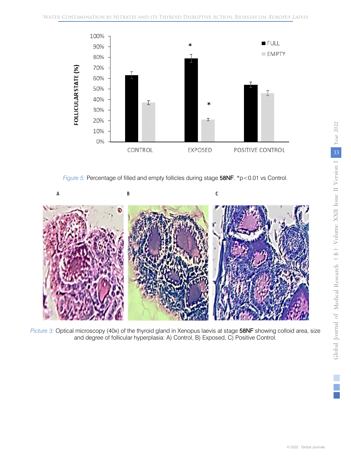

*Figure 5:* Percentage of filled and empty follicles during stage 58NF. \*p<0.01 vs Control.



*Picture 3:* Optical microscopy (40x) of the thyroid gland in Xenopus laevis at stage 58NF showing colloid area, size and degree of follicular hyperplasia: A) Control, B) Exposed, C) Positive Control.